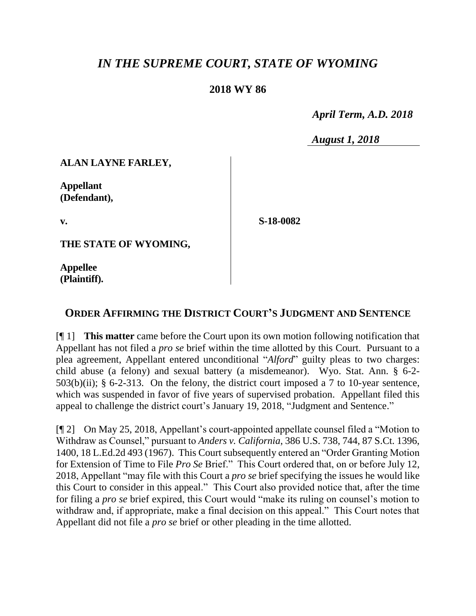# *IN THE SUPREME COURT, STATE OF WYOMING*

## **2018 WY 86**

 *April Term, A.D. 2018*

*August 1, 2018*

### **ALAN LAYNE FARLEY,**

**Appellant (Defendant),**

**v.**

**S-18-0082**

**THE STATE OF WYOMING,**

**Appellee (Plaintiff).**

## **ORDER AFFIRMING THE DISTRICT COURT'S JUDGMENT AND SENTENCE**

[¶ 1] **This matter** came before the Court upon its own motion following notification that Appellant has not filed a *pro se* brief within the time allotted by this Court. Pursuant to a plea agreement, Appellant entered unconditional "*Alford*" guilty pleas to two charges: child abuse (a felony) and sexual battery (a misdemeanor). Wyo. Stat. Ann. § 6-2-  $503(b)(ii)$ ; § 6-2-313. On the felony, the district court imposed a 7 to 10-year sentence, which was suspended in favor of five years of supervised probation. Appellant filed this appeal to challenge the district court's January 19, 2018, "Judgment and Sentence."

[¶ 2] On May 25, 2018, Appellant's court-appointed appellate counsel filed a "Motion to Withdraw as Counsel," pursuant to *Anders v. California*, 386 U.S. 738, 744, 87 S.Ct. 1396, 1400, 18 L.Ed.2d 493 (1967). This Court subsequently entered an "Order Granting Motion for Extension of Time to File *Pro Se* Brief." This Court ordered that, on or before July 12, 2018, Appellant "may file with this Court a *pro se* brief specifying the issues he would like this Court to consider in this appeal." This Court also provided notice that, after the time for filing a *pro se* brief expired, this Court would "make its ruling on counsel's motion to withdraw and, if appropriate, make a final decision on this appeal." This Court notes that Appellant did not file a *pro se* brief or other pleading in the time allotted.